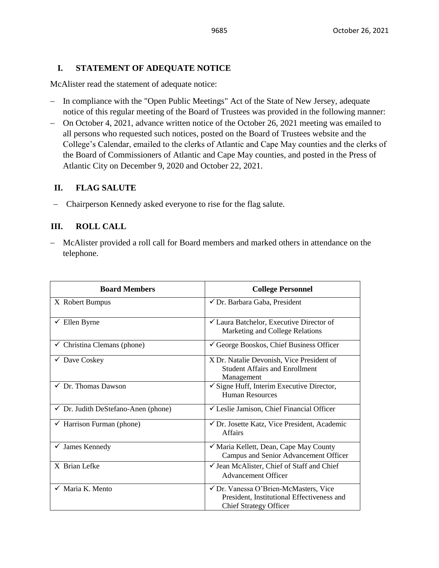# **I. STATEMENT OF ADEQUATE NOTICE**

McAlister read the statement of adequate notice:

- − In compliance with the "Open Public Meetings" Act of the State of New Jersey, adequate notice of this regular meeting of the Board of Trustees was provided in the following manner:
- − On October 4, 2021, advance written notice of the October 26, 2021 meeting was emailed to all persons who requested such notices, posted on the Board of Trustees website and the College's Calendar, emailed to the clerks of Atlantic and Cape May counties and the clerks of the Board of Commissioners of Atlantic and Cape May counties, and posted in the Press of Atlantic City on December 9, 2020 and October 22, 2021.

# **II. FLAG SALUTE**

− Chairperson Kennedy asked everyone to rise for the flag salute.

# **III. ROLL CALL**

− McAlister provided a roll call for Board members and marked others in attendance on the telephone.

| <b>Board Members</b>                           | <b>College Personnel</b>                                                                                             |
|------------------------------------------------|----------------------------------------------------------------------------------------------------------------------|
| X Robert Bumpus                                | √ Dr. Barbara Gaba, President                                                                                        |
| $\checkmark$ Ellen Byrne                       | <del></del> <del>∠</del> Laura Batchelor, Executive Director of<br>Marketing and College Relations                   |
| $\checkmark$ Christina Clemans (phone)         | $\checkmark$ George Booskos, Chief Business Officer                                                                  |
| $\checkmark$ Dave Coskey                       | X Dr. Natalie Devonish, Vice President of<br><b>Student Affairs and Enrollment</b><br>Management                     |
| $\checkmark$ Dr. Thomas Dawson                 | $\checkmark$ Signe Huff, Interim Executive Director,<br>Human Resources                                              |
| $\checkmark$ Dr. Judith DeStefano-Anen (phone) | └ Leslie Jamison, Chief Financial Officer                                                                            |
| $\checkmark$ Harrison Furman (phone)           | ✔ Dr. Josette Katz, Vice President, Academic<br><b>Affairs</b>                                                       |
| $\checkmark$ James Kennedy                     | √ Maria Kellett, Dean, Cape May County<br>Campus and Senior Advancement Officer                                      |
| X Brian Lefke                                  | $\checkmark$ Jean McAlister, Chief of Staff and Chief<br><b>Advancement Officer</b>                                  |
| $\checkmark$ Maria K. Mento                    | √ Dr. Vanessa O'Brien-McMasters, Vice<br>President, Institutional Effectiveness and<br><b>Chief Strategy Officer</b> |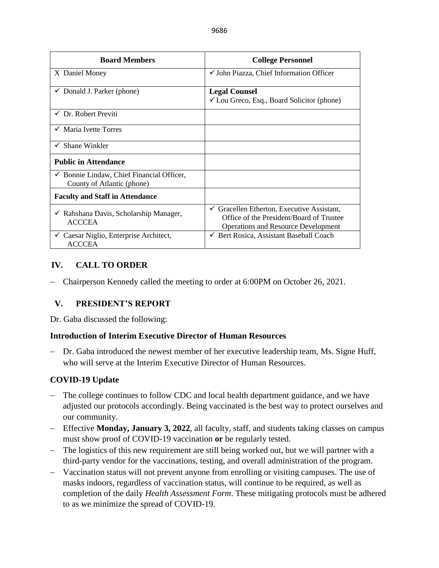| <b>Board Members</b>                                                               | <b>College Personnel</b>                                                                                                                           |
|------------------------------------------------------------------------------------|----------------------------------------------------------------------------------------------------------------------------------------------------|
| X Daniel Money                                                                     | $\checkmark$ John Piazza, Chief Information Officer                                                                                                |
| $\checkmark$ Donald J. Parker (phone)                                              | <b>Legal Counsel</b><br>$\checkmark$ Lou Greco, Esq., Board Solicitor (phone)                                                                      |
| $\checkmark$ Dr. Robert Previti                                                    |                                                                                                                                                    |
| $\checkmark$ Maria Ivette Torres                                                   |                                                                                                                                                    |
| $\checkmark$ Shane Winkler                                                         |                                                                                                                                                    |
| <b>Public in Attendance</b>                                                        |                                                                                                                                                    |
| $\checkmark$ Bonnie Lindaw, Chief Financial Officer,<br>County of Atlantic (phone) |                                                                                                                                                    |
| <b>Faculty and Staff in Attendance</b>                                             |                                                                                                                                                    |
| $\checkmark$ Rahshana Davis, Scholarship Manager,<br><b>ACCCEA</b>                 | Gracellen Etherton, Executive Assistant,<br>$\checkmark$<br>Office of the President/Board of Trustee<br><b>Operations and Resource Development</b> |
| $\checkmark$ Caesar Niglio, Enterprise Architect,<br><b>ACCCEA</b>                 | ← Bert Rosica, Assistant Baseball Coach                                                                                                            |

# **IV. CALL TO ORDER**

− Chairperson Kennedy called the meeting to order at 6:00PM on October 26, 2021.

# **V. PRESIDENT'S REPORT**

Dr. Gaba discussed the following:

## **Introduction of Interim Executive Director of Human Resources**

− Dr. Gaba introduced the newest member of her executive leadership team, Ms. Signe Huff, who will serve at the Interim Executive Director of Human Resources.

## **COVID-19 Update**

- − The college continues to follow CDC and local health department guidance, and we have adjusted our protocols accordingly. Being vaccinated is the best way to protect ourselves and our community.
- − Effective **Monday, January 3, 2022**, all faculty, staff, and students taking classes on campus must show proof of COVID-19 vaccination **or** be regularly tested.
- − The logistics of this new requirement are still being worked out, but we will partner with a third-party vendor for the vaccinations, testing, and overall administration of the program.
- − Vaccination status will not prevent anyone from enrolling or visiting campuses. The use of masks indoors, regardless of vaccination status, will continue to be required, as well as completion of the daily *Health Assessment Form*. These mitigating protocols must be adhered to as we minimize the spread of COVID-19.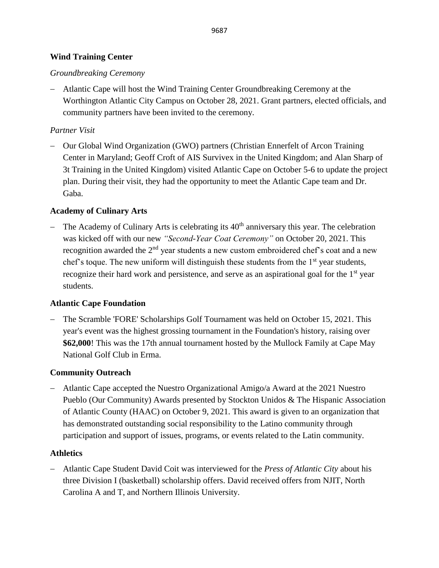## **Wind Training Center**

## *Groundbreaking Ceremony*

− Atlantic Cape will host the Wind Training Center Groundbreaking Ceremony at the Worthington Atlantic City Campus on October 28, 2021. Grant partners, elected officials, and community partners have been invited to the ceremony.

# *Partner Visit*

− Our Global Wind Organization (GWO) partners (Christian Ennerfelt of Arcon Training Center in Maryland; Geoff Croft of AIS Survivex in the United Kingdom; and Alan Sharp of 3t Training in the United Kingdom) visited Atlantic Cape on October 5-6 to update the project plan. During their visit, they had the opportunity to meet the Atlantic Cape team and Dr. Gaba.

# **Academy of Culinary Arts**

The Academy of Culinary Arts is celebrating its  $40<sup>th</sup>$  anniversary this year. The celebration was kicked off with our new *"Second-Year Coat Ceremony"* on October 20, 2021. This recognition awarded the  $2<sup>nd</sup>$  year students a new custom embroidered chef's coat and a new chef's toque. The new uniform will distinguish these students from the  $1<sup>st</sup>$  year students, recognize their hard work and persistence, and serve as an aspirational goal for the  $1<sup>st</sup>$  year students.

# **Atlantic Cape Foundation**

− The Scramble 'FORE' Scholarships Golf Tournament was held on October 15, 2021. This year's event was the highest grossing tournament in the Foundation's history, raising over **\$62,000**! This was the 17th annual tournament hosted by the Mullock Family at Cape May National Golf Club in Erma.

# **Community Outreach**

− Atlantic Cape accepted the Nuestro Organizational Amigo/a Award at the 2021 Nuestro Pueblo (Our Community) Awards presented by Stockton Unidos & The Hispanic Association of Atlantic County (HAAC) on October 9, 2021. This award is given to an organization that has demonstrated outstanding social responsibility to the Latino community through participation and support of issues, programs, or events related to the Latin community.

## **Athletics**

− Atlantic Cape Student David Coit was interviewed for the *Press of Atlantic City* about his three Division I (basketball) scholarship offers. David received offers from NJIT, North Carolina A and T, and Northern Illinois University.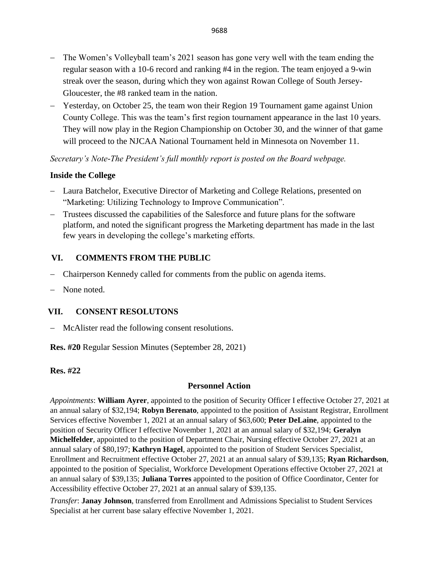9688

- − The Women's Volleyball team's 2021 season has gone very well with the team ending the regular season with a 10-6 record and ranking #4 in the region. The team enjoyed a 9-win streak over the season, during which they won against Rowan College of South Jersey-Gloucester, the #8 ranked team in the nation.
- − Yesterday, on October 25, the team won their Region 19 Tournament game against Union County College. This was the team's first region tournament appearance in the last 10 years. They will now play in the Region Championship on October 30, and the winner of that game will proceed to the NJCAA National Tournament held in Minnesota on November 11.

*Secretary's Note-The President's full monthly report is posted on the Board webpage.*

# **Inside the College**

- − Laura Batchelor, Executive Director of Marketing and College Relations, presented on "Marketing: Utilizing Technology to Improve Communication".
- − Trustees discussed the capabilities of the Salesforce and future plans for the software platform, and noted the significant progress the Marketing department has made in the last few years in developing the college's marketing efforts.

# **VI. COMMENTS FROM THE PUBLIC**

- − Chairperson Kennedy called for comments from the public on agenda items.
- None noted.

## **VII. CONSENT RESOLUTONS**

− McAlister read the following consent resolutions.

**Res. #20** Regular Session Minutes (September 28, 2021)

## **Res. #22**

## **Personnel Action**

*Appointments*: **William Ayrer**, appointed to the position of Security Officer I effective October 27, 2021 at an annual salary of \$32,194; **Robyn Berenato**, appointed to the position of Assistant Registrar, Enrollment Services effective November 1, 2021 at an annual salary of \$63,600; **Peter DeLaine**, appointed to the position of Security Officer I effective November 1, 2021 at an annual salary of \$32,194; **Geralyn Michelfelder**, appointed to the position of Department Chair, Nursing effective October 27, 2021 at an annual salary of \$80,197; **Kathryn Hagel**, appointed to the position of Student Services Specialist, Enrollment and Recruitment effective October 27, 2021 at an annual salary of \$39,135; **Ryan Richardson**, appointed to the position of Specialist, Workforce Development Operations effective October 27, 2021 at an annual salary of \$39,135; **Juliana Torres** appointed to the position of Office Coordinator, Center for Accessibility effective October 27, 2021 at an annual salary of \$39,135.

*Transfer*: **Janay Johnson**, transferred from Enrollment and Admissions Specialist to Student Services Specialist at her current base salary effective November 1, 2021.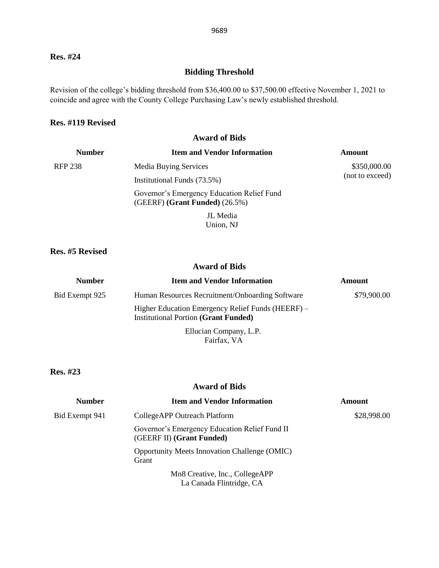### **Res. #24**

# **Bidding Threshold**

Revision of the college's bidding threshold from \$36,400.00 to \$37,500.00 effective November 1, 2021 to coincide and agree with the County College Purchasing Law's newly established threshold.

#### **Res. #119 Revised**

#### **Award of Bids**

| <b>Number</b>  | <b>Item and Vendor Information</b>                                                | Amount                          |
|----------------|-----------------------------------------------------------------------------------|---------------------------------|
| <b>RFP 238</b> | <b>Media Buying Services</b>                                                      | \$350,000.00<br>(not to exceed) |
|                | Institutional Funds (73.5%)                                                       |                                 |
|                | Governor's Emergency Education Relief Fund<br>$(GEERF)$ (Grant Funded) $(26.5\%)$ |                                 |
|                | JL Media                                                                          |                                 |

Union, NJ

### **Res. #5 Revised**

### **Award of Bids**

| <b>Number</b>  | <b>Item and Vendor Information</b>                                                               | <b>Amount</b> |
|----------------|--------------------------------------------------------------------------------------------------|---------------|
| Bid Exempt 925 | Human Resources Recruitment/Onboarding Software                                                  | \$79,900.00   |
|                | Higher Education Emergency Relief Funds (HEERF) –<br><b>Institutional Portion (Grant Funded)</b> |               |
|                | Ellucian Company, L.P.<br>Fairfax, VA                                                            |               |

**Res. #23**

#### **Award of Bids**

| <b>Number</b>  | <b>Item and Vendor Information</b>                                         | <b>Amount</b> |
|----------------|----------------------------------------------------------------------------|---------------|
| Bid Exempt 941 | CollegeAPP Outreach Platform                                               | \$28,998.00   |
|                | Governor's Emergency Education Relief Fund II<br>(GEERF II) (Grant Funded) |               |
|                | <b>Opportunity Meets Innovation Challenge (OMIC)</b><br>Grant              |               |
|                | Mn8 Creative, Inc., CollegeAPP<br>La Canada Flintridge, CA                 |               |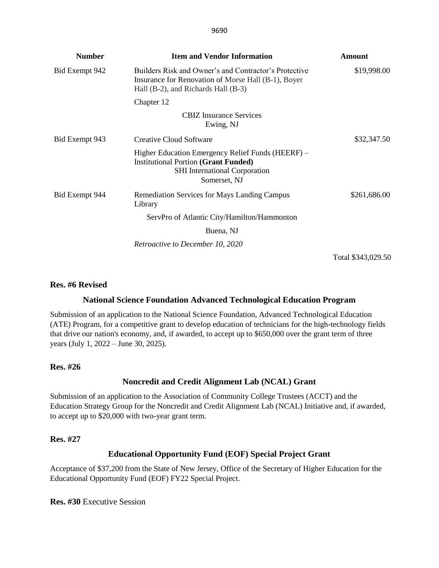| <b>Number</b>  | <b>Item and Vendor Information</b>                                                                                                                       | <b>Amount</b> |
|----------------|----------------------------------------------------------------------------------------------------------------------------------------------------------|---------------|
| Bid Exempt 942 | Builders Risk and Owner's and Contractor's Protective<br>Insurance for Renovation of Morse Hall (B-1), Boyer<br>Hall $(B-2)$ , and Richards Hall $(B-3)$ | \$19,998.00   |
|                | Chapter 12                                                                                                                                               |               |
|                | <b>CBIZ</b> Insurance Services<br>Ewing, NJ                                                                                                              |               |
| Bid Exempt 943 | <b>Creative Cloud Software</b>                                                                                                                           | \$32,347.50   |
|                | Higher Education Emergency Relief Funds (HEERF) –<br><b>Institutional Portion (Grant Funded)</b><br><b>SHI</b> International Corporation<br>Somerset, NJ |               |
| Bid Exempt 944 | Remediation Services for Mays Landing Campus<br>Library                                                                                                  | \$261,686.00  |
|                | ServPro of Atlantic City/Hamilton/Hammonton                                                                                                              |               |
|                | Buena, NJ                                                                                                                                                |               |
|                | <i>Retroactive to December 10, 2020</i>                                                                                                                  |               |

Total \$343,029.50

### **Res. #6 Revised**

### **National Science Foundation Advanced Technological Education Program**

Submission of an application to the National Science Foundation, Advanced Technological Education (ATE) Program, for a competitive grant to develop education of technicians for the high-technology fields that drive our nation's economy, and, if awarded, to accept up to \$650,000 over the grant term of three years (July 1, 2022 – June 30, 2025).

### **Res. #26**

### **Noncredit and Credit Alignment Lab (NCAL) Grant**

Submission of an application to the Association of Community College Trustees (ACCT) and the Education Strategy Group for the Noncredit and Credit Alignment Lab (NCAL) Initiative and, if awarded, to accept up to \$20,000 with two-year grant term.

### **Res. #27**

### **Educational Opportunity Fund (EOF) Special Project Grant**

Acceptance of \$37,200 from the State of New Jersey, Office of the Secretary of Higher Education for the Educational Opportunity Fund (EOF) FY22 Special Project.

**Res. #30** Executive Session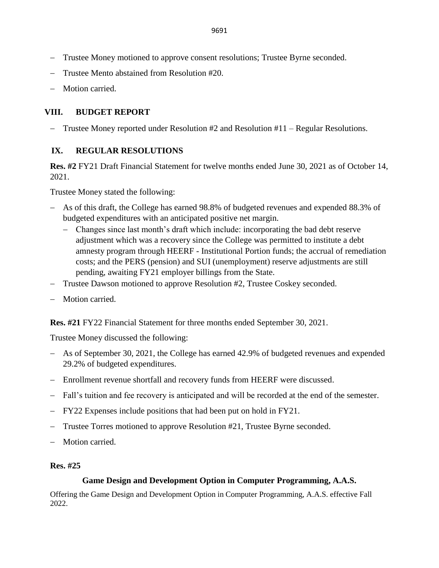- − Trustee Money motioned to approve consent resolutions; Trustee Byrne seconded.
- − Trustee Mento abstained from Resolution #20.
- − Motion carried.

# **VIII. BUDGET REPORT**

Trustee Money reported under Resolution  $#2$  and Resolution  $#11 -$  Regular Resolutions.

# **IX. REGULAR RESOLUTIONS**

**Res. #2** FY21 Draft Financial Statement for twelve months ended June 30, 2021 as of October 14, 2021.

Trustee Money stated the following:

- − As of this draft, the College has earned 98.8% of budgeted revenues and expended 88.3% of budgeted expenditures with an anticipated positive net margin.
	- − Changes since last month's draft which include: incorporating the bad debt reserve adjustment which was a recovery since the College was permitted to institute a debt amnesty program through HEERF - Institutional Portion funds; the accrual of remediation costs; and the PERS (pension) and SUI (unemployment) reserve adjustments are still pending, awaiting FY21 employer billings from the State.
- − Trustee Dawson motioned to approve Resolution #2, Trustee Coskey seconded.
- − Motion carried.

**Res. #21** FY22 Financial Statement for three months ended September 30, 2021.

Trustee Money discussed the following:

- − As of September 30, 2021, the College has earned 42.9% of budgeted revenues and expended 29.2% of budgeted expenditures.
- − Enrollment revenue shortfall and recovery funds from HEERF were discussed.
- − Fall's tuition and fee recovery is anticipated and will be recorded at the end of the semester.
- − FY22 Expenses include positions that had been put on hold in FY21.
- − Trustee Torres motioned to approve Resolution #21, Trustee Byrne seconded.
- Motion carried.

## **Res. #25**

## **Game Design and Development Option in Computer Programming, A.A.S.**

Offering the Game Design and Development Option in Computer Programming, A.A.S. effective Fall 2022.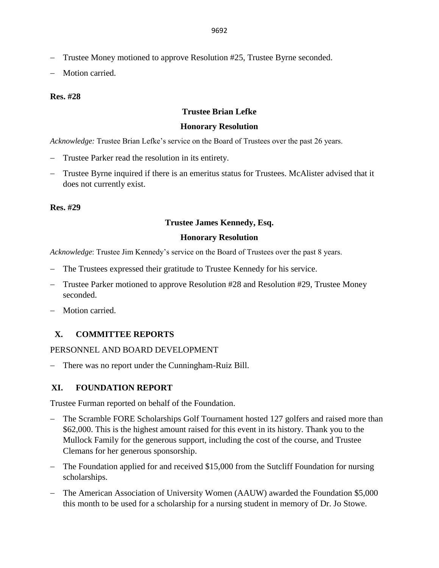- − Trustee Money motioned to approve Resolution #25, Trustee Byrne seconded.
- Motion carried.

### **Res. #28**

### **Trustee Brian Lefke**

#### **Honorary Resolution**

*Acknowledge:* Trustee Brian Lefke's service on the Board of Trustees over the past 26 years.

- Trustee Parker read the resolution in its entirety.
- Trustee Byrne inquired if there is an emeritus status for Trustees. McAlister advised that it does not currently exist.

#### **Res. #29**

#### **Trustee James Kennedy, Esq.**

#### **Honorary Resolution**

*Acknowledge*: Trustee Jim Kennedy's service on the Board of Trustees over the past 8 years.

- − The Trustees expressed their gratitude to Trustee Kennedy for his service.
- − Trustee Parker motioned to approve Resolution #28 and Resolution #29, Trustee Money seconded.
- − Motion carried.

### **X. COMMITTEE REPORTS**

PERSONNEL AND BOARD DEVELOPMENT

− There was no report under the Cunningham-Ruiz Bill.

#### **XI. FOUNDATION REPORT**

Trustee Furman reported on behalf of the Foundation.

- − The Scramble FORE Scholarships Golf Tournament hosted 127 golfers and raised more than \$62,000. This is the highest amount raised for this event in its history. Thank you to the Mullock Family for the generous support, including the cost of the course, and Trustee Clemans for her generous sponsorship.
- − The Foundation applied for and received \$15,000 from the Sutcliff Foundation for nursing scholarships.
- − The American Association of University Women (AAUW) awarded the Foundation \$5,000 this month to be used for a scholarship for a nursing student in memory of Dr. Jo Stowe.